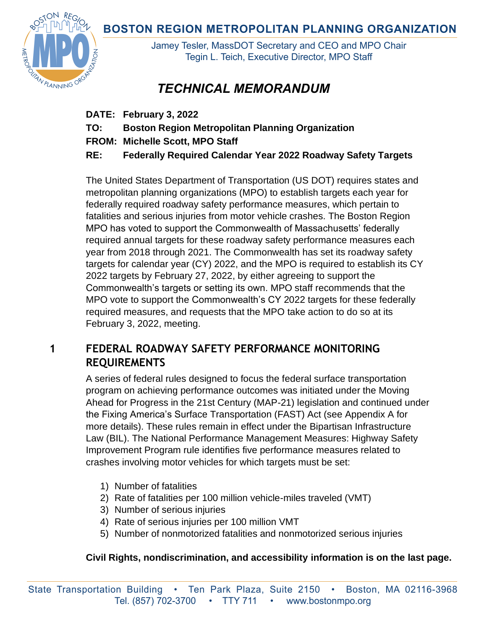**BOSTON REGION METROPOLITAN PLANNING ORGANIZATION** 



Jamey Tesler, MassDOT Secretary and CEO and MPO Chair Tegin L. Teich, Executive Director, MPO Staff

## *TECHNICAL MEMORANDUM*

- **DATE: February 3, 2022**
- **TO: Boston Region Metropolitan Planning Organization**
- **FROM: Michelle Scott, MPO Staff**
- **RE: Federally Required Calendar Year 2022 Roadway Safety Targets**

The United States Department of Transportation (US DOT) requires states and metropolitan planning organizations (MPO) to establish targets each year for federally required roadway safety performance measures, which pertain to fatalities and serious injuries from motor vehicle crashes. The Boston Region MPO has voted to support the Commonwealth of Massachusetts' federally required annual targets for these roadway safety performance measures each year from 2018 through 2021. The Commonwealth has set its roadway safety targets for calendar year (CY) 2022, and the MPO is required to establish its CY 2022 targets by February 27, 2022, by either agreeing to support the Commonwealth's targets or setting its own. MPO staff recommends that the MPO vote to support the Commonwealth's CY 2022 targets for these federally required measures, and requests that the MPO take action to do so at its February 3, 2022, meeting.

### **1 FEDERAL ROADWAY SAFETY PERFORMANCE MONITORING REQUIREMENTS**

A series of federal rules designed to focus the federal surface transportation program on achieving performance outcomes was initiated under the Moving Ahead for Progress in the 21st Century (MAP-21) legislation and continued under the Fixing America's Surface Transportation (FAST) Act (see Appendix A for more details). These rules remain in effect under the Bipartisan Infrastructure Law (BIL). The National Performance Management Measures: Highway Safety Improvement Program rule identifies five performance measures related to crashes involving motor vehicles for which targets must be set:

- 1) Number of fatalities
- 2) Rate of fatalities per 100 million vehicle-miles traveled (VMT)
- 3) Number of serious injuries
- 4) Rate of serious injuries per 100 million VMT
- 5) Number of nonmotorized fatalities and nonmotorized serious injuries

### **Civil Rights, nondiscrimination, and accessibility information is on the last page.**

State Transportation Building • Ten Park Plaza, Suite 2150 • Boston, MA 02116-3968 Tel. (857) 702-3700 • TTY 711 • www.bostonmpo.org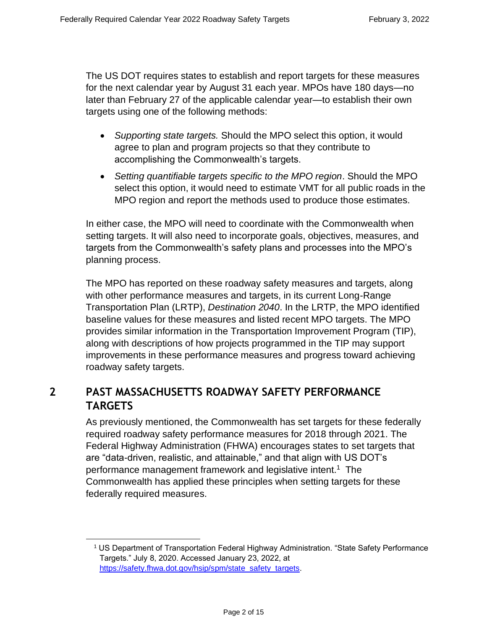The US DOT requires states to establish and report targets for these measures for the next calendar year by August 31 each year. MPOs have 180 days—no later than February 27 of the applicable calendar year—to establish their own targets using one of the following methods:

- *Supporting state targets.* Should the MPO select this option, it would agree to plan and program projects so that they contribute to accomplishing the Commonwealth's targets.
- *Setting quantifiable targets specific to the MPO region*. Should the MPO select this option, it would need to estimate VMT for all public roads in the MPO region and report the methods used to produce those estimates.

In either case, the MPO will need to coordinate with the Commonwealth when setting targets. It will also need to incorporate goals, objectives, measures, and targets from the Commonwealth's safety plans and processes into the MPO's planning process.

The MPO has reported on these roadway safety measures and targets, along with other performance measures and targets, in its current Long-Range Transportation Plan (LRTP), *Destination 2040*. In the LRTP, the MPO identified baseline values for these measures and listed recent MPO targets. The MPO provides similar information in the Transportation Improvement Program (TIP), along with descriptions of how projects programmed in the TIP may support improvements in these performance measures and progress toward achieving roadway safety targets.

### **2 PAST MASSACHUSETTS ROADWAY SAFETY PERFORMANCE TARGETS**

As previously mentioned, the Commonwealth has set targets for these federally required roadway safety performance measures for 2018 through 2021. The Federal Highway Administration (FHWA) encourages states to set targets that are "data-driven, realistic, and attainable," and that align with US DOT's performance management framework and legislative intent.<sup>1</sup> The Commonwealth has applied these principles when setting targets for these federally required measures.

<sup>1</sup> US Department of Transportation Federal Highway Administration. "State Safety Performance Targets." July 8, 2020. Accessed January 23, 2022, at [https://safety.fhwa.dot.gov/hsip/spm/state\\_safety\\_targets.](https://safety.fhwa.dot.gov/hsip/spm/state_safety_targets/)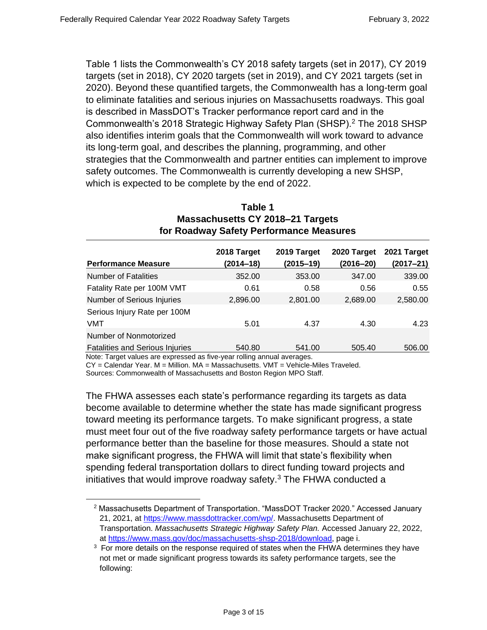Table 1 lists the Commonwealth's CY 2018 safety targets (set in 2017), CY 2019 targets (set in 2018), CY 2020 targets (set in 2019), and CY 2021 targets (set in 2020). Beyond these quantified targets, the Commonwealth has a long-term goal to eliminate fatalities and serious injuries on Massachusetts roadways. This goal is described in MassDOT's Tracker performance report card and in the Commonwealth's 2018 Strategic Highway Safety Plan (SHSP).<sup>2</sup> The 2018 SHSP also identifies interim goals that the Commonwealth will work toward to advance its long-term goal, and describes the planning, programming, and other strategies that the Commonwealth and partner entities can implement to improve safety outcomes. The Commonwealth is currently developing a new SHSP, which is expected to be complete by the end of 2022.

| for Roadway Safety Performance Measures |             |             |             |             |  |  |  |
|-----------------------------------------|-------------|-------------|-------------|-------------|--|--|--|
|                                         | 2018 Target | 2019 Target | 2020 Target | 2021 Target |  |  |  |
| <b>Performance Measure</b>              | (2014–18)   | (2015–19)   | (2016–20)   | (2017–21)   |  |  |  |
| <b>Number of Fatalities</b>             | 352.00      | 353.00      | 347.00      | 339.00      |  |  |  |
| Fatality Rate per 100M VMT              | 0.61        | 0.58        | 0.56        | 0.55        |  |  |  |
| Number of Serious Injuries              | 2,896.00    | 2,801.00    | 2,689.00    | 2,580.00    |  |  |  |
| Serious Injury Rate per 100M            |             |             |             |             |  |  |  |
| <b>VMT</b>                              | 5.01        | 4.37        | 4.30        | 4.23        |  |  |  |
| Number of Nonmotorized                  |             |             |             |             |  |  |  |
| <b>Fatalities and Serious Injuries</b>  | 540.80      | 541.00      | 505.40      | 506.00      |  |  |  |

#### **Table 1 Massachusetts CY 2018–21 Targets for Roadway Safety Performance Measures**

Note: Target values are expressed as five-year rolling annual averages.

CY = Calendar Year. M = Million. MA = Massachusetts. VMT = Vehicle-Miles Traveled.

Sources: Commonwealth of Massachusetts and Boston Region MPO Staff.

The FHWA assesses each state's performance regarding its targets as data become available to determine whether the state has made significant progress toward meeting its performance targets. To make significant progress, a state must meet four out of the five roadway safety performance targets or have actual performance better than the baseline for those measures. Should a state not make significant progress, the FHWA will limit that state's flexibility when spending federal transportation dollars to direct funding toward projects and initiatives that would improve roadway safety. $3$  The FHWA conducted a

<sup>2</sup> Massachusetts Department of Transportation. "MassDOT Tracker 2020." Accessed January 21, 2021, at [https://www.massdottracker.com/wp/.](https://www.massdottracker.com/wp/) Massachusetts Department of Transportation. *Massachusetts Strategic Highway Safety Plan.* Accessed January 22, 2022, at [https://www.mass.gov/doc/massachusetts-shsp-2018/download,](https://www.mass.gov/doc/massachusetts-shsp-2018/download) page i.

<sup>&</sup>lt;sup>3</sup> For more details on the response required of states when the FHWA determines they have not met or made significant progress towards its safety performance targets, see the following: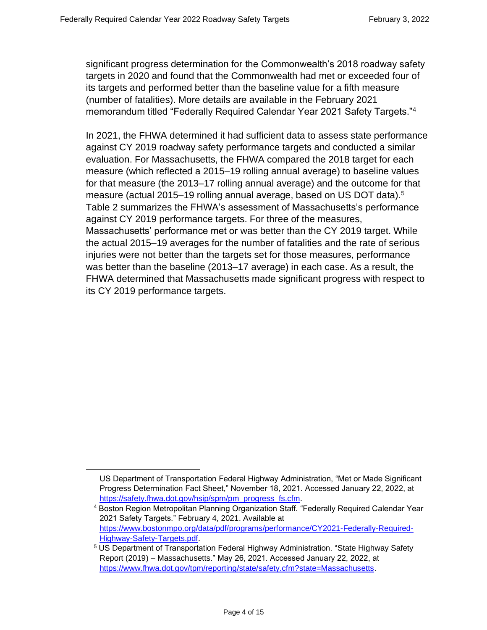significant progress determination for the Commonwealth's 2018 roadway safety targets in 2020 and found that the Commonwealth had met or exceeded four of its targets and performed better than the baseline value for a fifth measure (number of fatalities). More details are available in the February 2021 memorandum titled "Federally Required Calendar Year 2021 Safety Targets."<sup>4</sup>

In 2021, the FHWA determined it had sufficient data to assess state performance against CY 2019 roadway safety performance targets and conducted a similar evaluation. For Massachusetts, the FHWA compared the 2018 target for each measure (which reflected a 2015–19 rolling annual average) to baseline values for that measure (the 2013–17 rolling annual average) and the outcome for that measure (actual 2015–19 rolling annual average, based on US DOT data).<sup>5</sup> Table 2 summarizes the FHWA's assessment of Massachusetts's performance against CY 2019 performance targets. For three of the measures, Massachusetts' performance met or was better than the CY 2019 target. While the actual 2015–19 averages for the number of fatalities and the rate of serious injuries were not better than the targets set for those measures, performance was better than the baseline (2013–17 average) in each case. As a result, the FHWA determined that Massachusetts made significant progress with respect to its CY 2019 performance targets.

US Department of Transportation Federal Highway Administration, "Met or Made Significant Progress Determination Fact Sheet," November 18, 2021. Accessed January 22, 2022, at [https://safety.fhwa.dot.gov/hsip/spm/pm\\_progress\\_fs.cfm.](https://safety.fhwa.dot.gov/hsip/spm/pm_progress_fs.cfm)

<sup>&</sup>lt;sup>4</sup> Boston Region Metropolitan Planning Organization Staff. "Federally Required Calendar Year 2021 Safety Targets." February 4, 2021. Available at [https://www.bostonmpo.org/data/pdf/programs/performance/CY2021-Federally-Required-](https://www.bostonmpo.org/data/pdf/programs/performance/CY2021-Federally-Required-Highway-Safety-Targets.pdf)[Highway-Safety-Targets.pdf.](https://www.bostonmpo.org/data/pdf/programs/performance/CY2021-Federally-Required-Highway-Safety-Targets.pdf)

 $^5$  US Department of Transportation Federal Highway Administration. "State Highway Safety Report (2019) – Massachusetts." May 26, 2021. Accessed January 22, 2022, at [https://www.fhwa.dot.gov/tpm/reporting/state/safety.cfm?state=Massachusetts.](https://www.fhwa.dot.gov/tpm/reporting/state/safety.cfm?state=Massachusetts)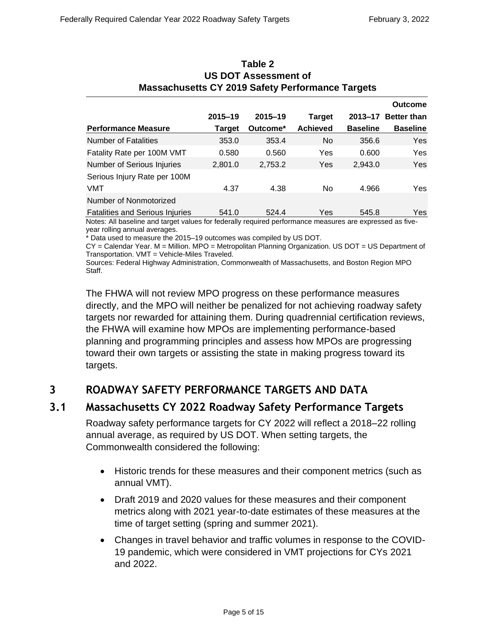| <b>Massachusetts CY 2019 Safety Performance Targets</b> |             |             |                 |                 |                    |  |  |  |
|---------------------------------------------------------|-------------|-------------|-----------------|-----------------|--------------------|--|--|--|
|                                                         |             |             |                 |                 | <b>Outcome</b>     |  |  |  |
|                                                         | $2015 - 19$ | $2015 - 19$ | <b>Target</b>   | $2013 - 17$     | <b>Better than</b> |  |  |  |
| <b>Performance Measure</b>                              | Target      | Outcome*    | <b>Achieved</b> | <b>Baseline</b> | <b>Baseline</b>    |  |  |  |
| <b>Number of Fatalities</b>                             | 353.0       | 353.4       | N <sub>0</sub>  | 356.6           | <b>Yes</b>         |  |  |  |
| Fatality Rate per 100M VMT                              | 0.580       | 0.560       | Yes             | 0.600           | <b>Yes</b>         |  |  |  |
| <b>Number of Serious Injuries</b>                       | 2,801.0     | 2,753.2     | Yes             | 2,943.0         | <b>Yes</b>         |  |  |  |
| Serious Injury Rate per 100M                            |             |             |                 |                 |                    |  |  |  |
| VMT                                                     | 4.37        | 4.38        | <b>No</b>       | 4.966           | Yes                |  |  |  |
| Number of Nonmotorized                                  |             |             |                 |                 |                    |  |  |  |
| <b>Fatalities and Serious Injuries</b>                  | 541.0       | 524.4       | Yes             | 545.8           | Yes                |  |  |  |

# **Table 2 US DOT Assessment of**

Notes: All baseline and target values for federally required performance measures are expressed as fiveyear rolling annual averages.

\* Data used to measure the 2015–19 outcomes was compiled by US DOT.

CY = Calendar Year. M = Million. MPO = Metropolitan Planning Organization. US DOT = US Department of Transportation. VMT = Vehicle-Miles Traveled.

Sources: Federal Highway Administration, Commonwealth of Massachusetts, and Boston Region MPO Staff.

The FHWA will not review MPO progress on these performance measures directly, and the MPO will neither be penalized for not achieving roadway safety targets nor rewarded for attaining them. During quadrennial certification reviews, the FHWA will examine how MPOs are implementing performance-based planning and programming principles and assess how MPOs are progressing toward their own targets or assisting the state in making progress toward its targets.

### **3 ROADWAY SAFETY PERFORMANCE TARGETS AND DATA**

### **3.1 Massachusetts CY 2022 Roadway Safety Performance Targets**

Roadway safety performance targets for CY 2022 will reflect a 2018–22 rolling annual average, as required by US DOT. When setting targets, the Commonwealth considered the following:

- Historic trends for these measures and their component metrics (such as annual VMT).
- Draft 2019 and 2020 values for these measures and their component metrics along with 2021 year-to-date estimates of these measures at the time of target setting (spring and summer 2021).
- Changes in travel behavior and traffic volumes in response to the COVID-19 pandemic, which were considered in VMT projections for CYs 2021 and 2022.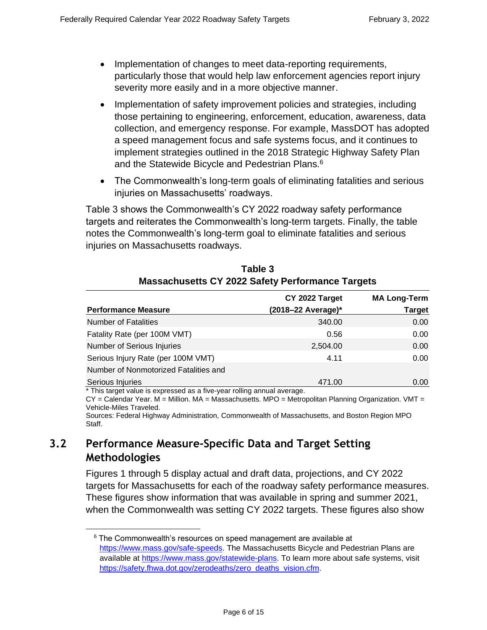- Implementation of changes to meet data-reporting requirements, particularly those that would help law enforcement agencies report injury severity more easily and in a more objective manner.
- Implementation of safety improvement policies and strategies, including those pertaining to engineering, enforcement, education, awareness, data collection, and emergency response. For example, MassDOT has adopted a speed management focus and safe systems focus, and it continues to implement strategies outlined in the 2018 Strategic Highway Safety Plan and the Statewide Bicycle and Pedestrian Plans.<sup>6</sup>
- The Commonwealth's long-term goals of eliminating fatalities and serious injuries on Massachusetts' roadways.

Table 3 shows the Commonwealth's CY 2022 roadway safety performance targets and reiterates the Commonwealth's long-term targets. Finally, the table notes the Commonwealth's long-term goal to eliminate fatalities and serious injuries on Massachusetts roadways.

|                                                                        | CY 2022 Target         | <b>MA Long-Term</b> |
|------------------------------------------------------------------------|------------------------|---------------------|
| <b>Performance Measure</b>                                             | $(2018 - 22$ Average)* | <b>Target</b>       |
| <b>Number of Fatalities</b>                                            | 340.00                 | 0.00                |
| Fatality Rate (per 100M VMT)                                           | 0.56                   | 0.00                |
| <b>Number of Serious Injuries</b>                                      | 2,504.00               | 0.00                |
| Serious Injury Rate (per 100M VMT)                                     | 4.11                   | 0.00                |
| Number of Nonmotorized Fatalities and                                  |                        |                     |
| Serious Injuries                                                       | 471.00                 | 0.00                |
| * This target value is expressed as a five year relling appual average |                        |                     |

### **Table 3 Massachusetts CY 2022 Safety Performance Targets**

This target value is expressed as a five-year rolling annual average.

 $CY =$  Calendar Year. M = Million. MA = Massachusetts. MPO = Metropolitan Planning Organization. VMT = Vehicle-Miles Traveled.

Sources: Federal Highway Administration, Commonwealth of Massachusetts, and Boston Region MPO Staff.

### **3.2 Performance Measure-Specific Data and Target Setting Methodologies**

Figures 1 through 5 display actual and draft data, projections, and CY 2022 targets for Massachusetts for each of the roadway safety performance measures. These figures show information that was available in spring and summer 2021, when the Commonwealth was setting CY 2022 targets. These figures also show

 $6$  The Commonwealth's resources on speed management are available at https://www.mass.gov/safe-speeds. The Massachusetts Bicycle and Pedestrian Plans are available at [https://www.mass.gov/statewide-plans.](https://www.mass.gov/statewide-plans) To learn more about safe systems, visit [https://safety.fhwa.dot.gov/zerodeaths/zero\\_deaths\\_vision.cfm.](https://safety.fhwa.dot.gov/zerodeaths/zero_deaths_vision.cfm)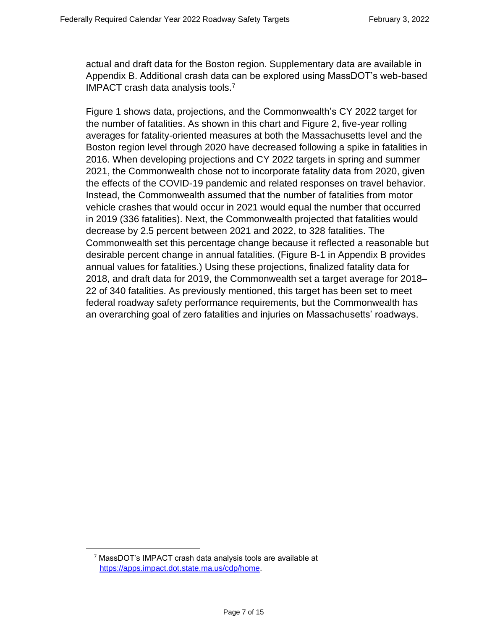actual and draft data for the Boston region. Supplementary data are available in Appendix B. Additional crash data can be explored using MassDOT's web-based IMPACT crash data analysis tools.<sup>7</sup>

Figure 1 shows data, projections, and the Commonwealth's CY 2022 target for the number of fatalities. As shown in this chart and Figure 2, five-year rolling averages for fatality-oriented measures at both the Massachusetts level and the Boston region level through 2020 have decreased following a spike in fatalities in 2016. When developing projections and CY 2022 targets in spring and summer 2021, the Commonwealth chose not to incorporate fatality data from 2020, given the effects of the COVID-19 pandemic and related responses on travel behavior. Instead, the Commonwealth assumed that the number of fatalities from motor vehicle crashes that would occur in 2021 would equal the number that occurred in 2019 (336 fatalities). Next, the Commonwealth projected that fatalities would decrease by 2.5 percent between 2021 and 2022, to 328 fatalities. The Commonwealth set this percentage change because it reflected a reasonable but desirable percent change in annual fatalities. (Figure B-1 in Appendix B provides annual values for fatalities.) Using these projections, finalized fatality data for 2018, and draft data for 2019, the Commonwealth set a target average for 2018– 22 of 340 fatalities. As previously mentioned, this target has been set to meet federal roadway safety performance requirements, but the Commonwealth has an overarching goal of zero fatalities and injuries on Massachusetts' roadways.

<sup>7</sup> MassDOT's IMPACT crash data analysis tools are available at [https://apps.impact.dot.state.ma.us/cdp/home.](https://apps.impact.dot.state.ma.us/cdp/home)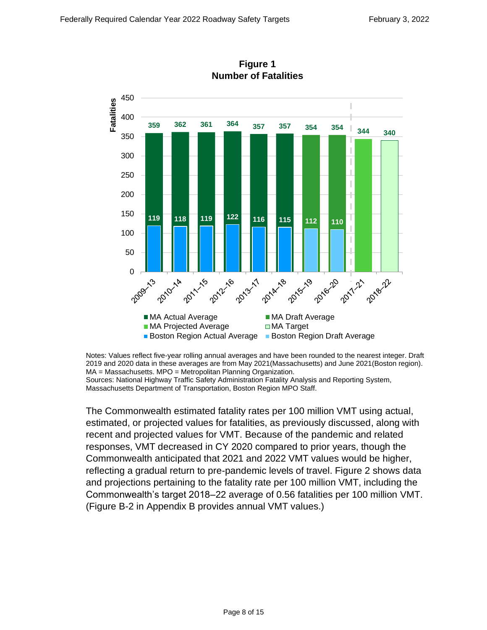

**Figure 1 Number of Fatalities**

Notes: Values reflect five-year rolling annual averages and have been rounded to the nearest integer. Draft 2019 and 2020 data in these averages are from May 2021(Massachusetts) and June 2021(Boston region). MA = Massachusetts. MPO = Metropolitan Planning Organization. Sources: National Highway Traffic Safety Administration Fatality Analysis and Reporting System, Massachusetts Department of Transportation, Boston Region MPO Staff.

The Commonwealth estimated fatality rates per 100 million VMT using actual, estimated, or projected values for fatalities, as previously discussed, along with recent and projected values for VMT. Because of the pandemic and related responses, VMT decreased in CY 2020 compared to prior years, though the Commonwealth anticipated that 2021 and 2022 VMT values would be higher, reflecting a gradual return to pre-pandemic levels of travel. Figure 2 shows data and projections pertaining to the fatality rate per 100 million VMT, including the Commonwealth's target 2018–22 average of 0.56 fatalities per 100 million VMT. (Figure B-2 in Appendix B provides annual VMT values.)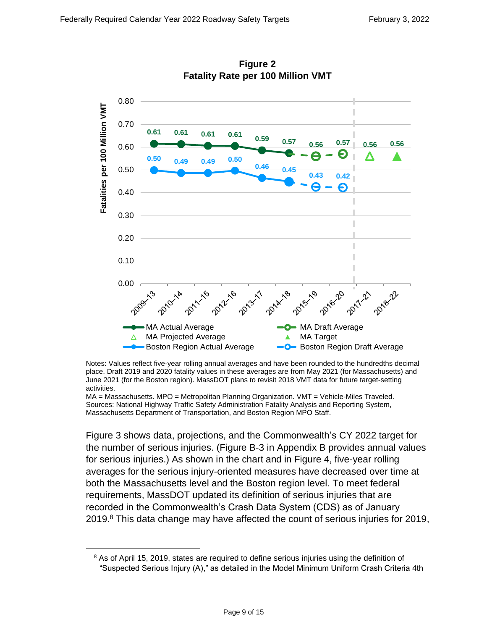

**Figure 2 Fatality Rate per 100 Million VMT**

Notes: Values reflect five-year rolling annual averages and have been rounded to the hundredths decimal place. Draft 2019 and 2020 fatality values in these averages are from May 2021 (for Massachusetts) and June 2021 (for the Boston region). MassDOT plans to revisit 2018 VMT data for future target-setting activities.

MA = Massachusetts. MPO = Metropolitan Planning Organization. VMT = Vehicle-Miles Traveled. Sources: National Highway Traffic Safety Administration Fatality Analysis and Reporting System, Massachusetts Department of Transportation, and Boston Region MPO Staff.

Figure 3 shows data, projections, and the Commonwealth's CY 2022 target for the number of serious injuries. (Figure B-3 in Appendix B provides annual values for serious injuries.) As shown in the chart and in Figure 4, five-year rolling averages for the serious injury-oriented measures have decreased over time at both the Massachusetts level and the Boston region level. To meet federal requirements, MassDOT updated its definition of serious injuries that are recorded in the Commonwealth's Crash Data System (CDS) as of January 2019.<sup>8</sup> This data change may have affected the count of serious injuries for 2019,

 $8$  As of April 15, 2019, states are required to define serious injuries using the definition of "Suspected Serious Injury (A)," as detailed in the Model Minimum Uniform Crash Criteria 4th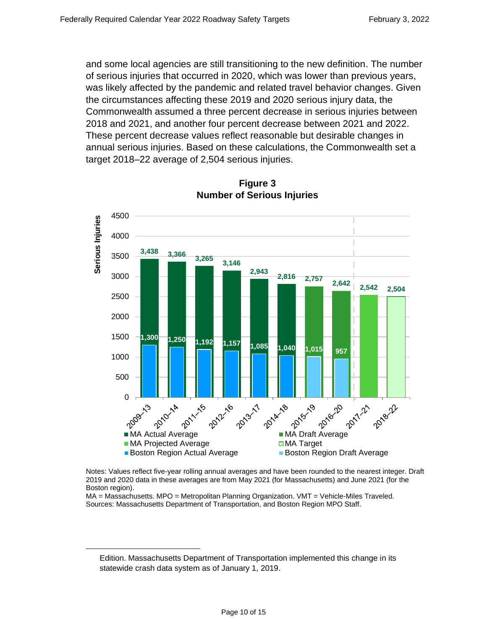and some local agencies are still transitioning to the new definition. The number of serious injuries that occurred in 2020, which was lower than previous years, was likely affected by the pandemic and related travel behavior changes. Given the circumstances affecting these 2019 and 2020 serious injury data, the Commonwealth assumed a three percent decrease in serious injuries between 2018 and 2021, and another four percent decrease between 2021 and 2022. These percent decrease values reflect reasonable but desirable changes in annual serious injuries. Based on these calculations, the Commonwealth set a target 2018–22 average of 2,504 serious injuries.



**Figure 3 Number of Serious Injuries**

Notes: Values reflect five-year rolling annual averages and have been rounded to the nearest integer. Draft 2019 and 2020 data in these averages are from May 2021 (for Massachusetts) and June 2021 (for the Boston region).

MA = Massachusetts. MPO = Metropolitan Planning Organization. VMT = Vehicle-Miles Traveled. Sources: Massachusetts Department of Transportation, and Boston Region MPO Staff.

Edition. Massachusetts Department of Transportation implemented this change in its statewide crash data system as of January 1, 2019.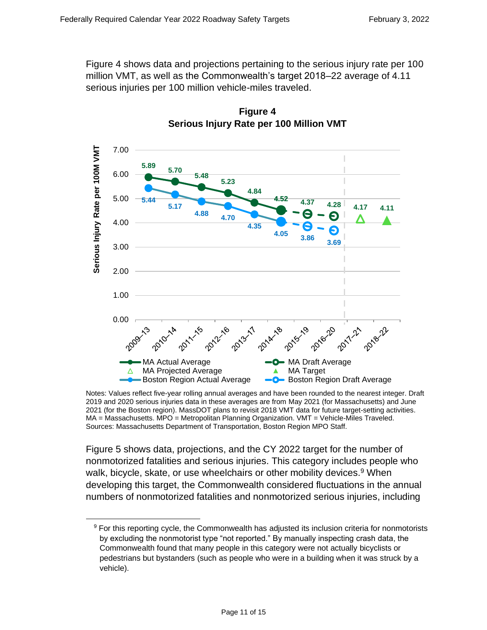Figure 4 shows data and projections pertaining to the serious injury rate per 100 million VMT, as well as the Commonwealth's target 2018–22 average of 4.11 serious injuries per 100 million vehicle-miles traveled.





Figure 5 shows data, projections, and the CY 2022 target for the number of nonmotorized fatalities and serious injuries. This category includes people who walk, bicycle, skate, or use wheelchairs or other mobility devices.<sup>9</sup> When developing this target, the Commonwealth considered fluctuations in the annual numbers of nonmotorized fatalities and nonmotorized serious injuries, including

Notes: Values reflect five-year rolling annual averages and have been rounded to the nearest integer. Draft 2019 and 2020 serious injuries data in these averages are from May 2021 (for Massachusetts) and June 2021 (for the Boston region). MassDOT plans to revisit 2018 VMT data for future target-setting activities. MA = Massachusetts. MPO = Metropolitan Planning Organization. VMT = Vehicle-Miles Traveled. Sources: Massachusetts Department of Transportation, Boston Region MPO Staff.

 $9$  For this reporting cycle, the Commonwealth has adjusted its inclusion criteria for nonmotorists by excluding the nonmotorist type "not reported." By manually inspecting crash data, the Commonwealth found that many people in this category were not actually bicyclists or pedestrians but bystanders (such as people who were in a building when it was struck by a vehicle).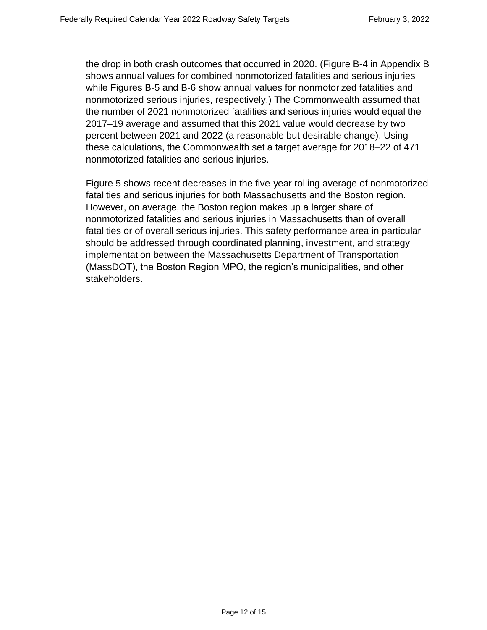the drop in both crash outcomes that occurred in 2020. (Figure B-4 in Appendix B shows annual values for combined nonmotorized fatalities and serious injuries while Figures B-5 and B-6 show annual values for nonmotorized fatalities and nonmotorized serious injuries, respectively.) The Commonwealth assumed that the number of 2021 nonmotorized fatalities and serious injuries would equal the 2017–19 average and assumed that this 2021 value would decrease by two percent between 2021 and 2022 (a reasonable but desirable change). Using these calculations, the Commonwealth set a target average for 2018–22 of 471 nonmotorized fatalities and serious injuries.

Figure 5 shows recent decreases in the five-year rolling average of nonmotorized fatalities and serious injuries for both Massachusetts and the Boston region. However, on average, the Boston region makes up a larger share of nonmotorized fatalities and serious injuries in Massachusetts than of overall fatalities or of overall serious injuries. This safety performance area in particular should be addressed through coordinated planning, investment, and strategy implementation between the Massachusetts Department of Transportation (MassDOT), the Boston Region MPO, the region's municipalities, and other stakeholders.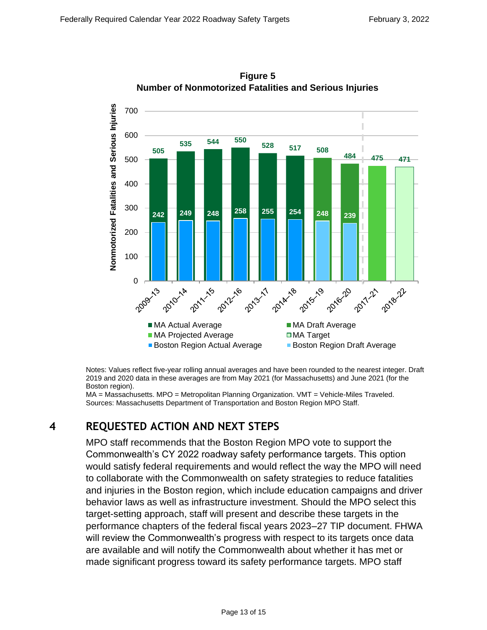

**Figure 5 Number of Nonmotorized Fatalities and Serious Injuries**

Notes: Values reflect five-year rolling annual averages and have been rounded to the nearest integer. Draft 2019 and 2020 data in these averages are from May 2021 (for Massachusetts) and June 2021 (for the Boston region).

MA = Massachusetts. MPO = Metropolitan Planning Organization. VMT = Vehicle-Miles Traveled. Sources: Massachusetts Department of Transportation and Boston Region MPO Staff.

### **4 REQUESTED ACTION AND NEXT STEPS**

MPO staff recommends that the Boston Region MPO vote to support the Commonwealth's CY 2022 roadway safety performance targets. This option would satisfy federal requirements and would reflect the way the MPO will need to collaborate with the Commonwealth on safety strategies to reduce fatalities and injuries in the Boston region, which include education campaigns and driver behavior laws as well as infrastructure investment. Should the MPO select this target-setting approach, staff will present and describe these targets in the performance chapters of the federal fiscal years 2023–27 TIP document. FHWA will review the Commonwealth's progress with respect to its targets once data are available and will notify the Commonwealth about whether it has met or made significant progress toward its safety performance targets. MPO staff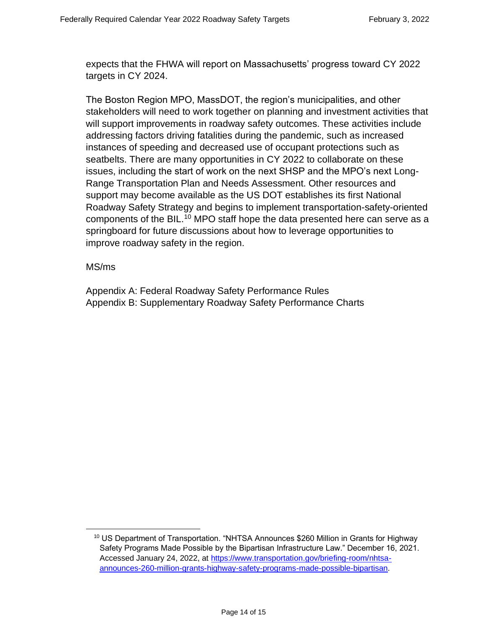expects that the FHWA will report on Massachusetts' progress toward CY 2022 targets in CY 2024.

The Boston Region MPO, MassDOT, the region's municipalities, and other stakeholders will need to work together on planning and investment activities that will support improvements in roadway safety outcomes. These activities include addressing factors driving fatalities during the pandemic, such as increased instances of speeding and decreased use of occupant protections such as seatbelts. There are many opportunities in CY 2022 to collaborate on these issues, including the start of work on the next SHSP and the MPO's next Long-Range Transportation Plan and Needs Assessment. Other resources and support may become available as the US DOT establishes its first National Roadway Safety Strategy and begins to implement transportation-safety-oriented components of the BIL.<sup>10</sup> MPO staff hope the data presented here can serve as a springboard for future discussions about how to leverage opportunities to improve roadway safety in the region.

#### MS/ms

Appendix A: Federal Roadway Safety Performance Rules Appendix B: Supplementary Roadway Safety Performance Charts

<sup>&</sup>lt;sup>10</sup> US Department of Transportation. "NHTSA Announces \$260 Million in Grants for Highway Safety Programs Made Possible by the Bipartisan Infrastructure Law." December 16, 2021. Accessed January 24, 2022, at [https://www.transportation.gov/briefing-room/nhtsa](https://www.transportation.gov/briefing-room/nhtsa-announces-260-million-grants-highway-safety-programs-made-possible-bipartisan)[announces-260-million-grants-highway-safety-programs-made-possible-bipartisan.](https://www.transportation.gov/briefing-room/nhtsa-announces-260-million-grants-highway-safety-programs-made-possible-bipartisan)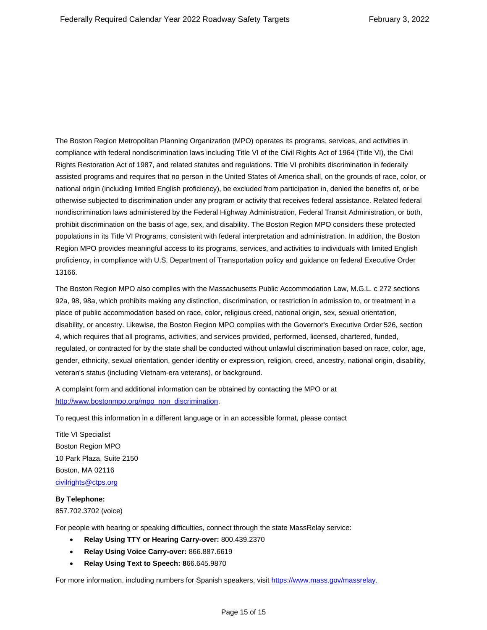The Boston Region Metropolitan Planning Organization (MPO) operates its programs, services, and activities in compliance with federal nondiscrimination laws including Title VI of the Civil Rights Act of 1964 (Title VI), the Civil Rights Restoration Act of 1987, and related statutes and regulations. Title VI prohibits discrimination in federally assisted programs and requires that no person in the United States of America shall, on the grounds of race, color, or national origin (including limited English proficiency), be excluded from participation in, denied the benefits of, or be otherwise subjected to discrimination under any program or activity that receives federal assistance. Related federal nondiscrimination laws administered by the Federal Highway Administration, Federal Transit Administration, or both, prohibit discrimination on the basis of age, sex, and disability. The Boston Region MPO considers these protected populations in its Title VI Programs, consistent with federal interpretation and administration. In addition, the Boston Region MPO provides meaningful access to its programs, services, and activities to individuals with limited English proficiency, in compliance with U.S. Department of Transportation policy and guidance on federal Executive Order 13166.

The Boston Region MPO also complies with the Massachusetts Public Accommodation Law, M.G.L. c 272 sections 92a, 98, 98a, which prohibits making any distinction, discrimination, or restriction in admission to, or treatment in a place of public accommodation based on race, color, religious creed, national origin, sex, sexual orientation, disability, or ancestry. Likewise, the Boston Region MPO complies with the Governor's Executive Order 526, section 4, which requires that all programs, activities, and services provided, performed, licensed, chartered, funded, regulated, or contracted for by the state shall be conducted without unlawful discrimination based on race, color, age, gender, ethnicity, sexual orientation, gender identity or expression, religion, creed, ancestry, national origin, disability, veteran's status (including Vietnam-era veterans), or background.

A complaint form and additional information can be obtained by contacting the MPO or at [http://www.bostonmpo.org/mpo\\_non\\_discrimination.](http://www.bostonmpo.org/mpo_non_discrimination) 

To request this information in a different language or in an accessible format, please contact

Title VI Specialist Boston Region MPO 10 Park Plaza, Suite 2150 Boston, MA 02116 [civilrights@ctps.org](mailto:civilrights@ctps.org)

#### **By Telephone:**

857.702.3702 (voice)

For people with hearing or speaking difficulties, connect through the state MassRelay service:

- **Relay Using TTY or Hearing Carry-over:** 800.439.2370
- **Relay Using Voice Carry-over:** 866.887.6619
- **Relay Using Text to Speech: 8**66.645.9870

For more information, including numbers for Spanish speakers, visit [https://www.mass.gov/massrelay.](https://www.mass.gov/massrelay)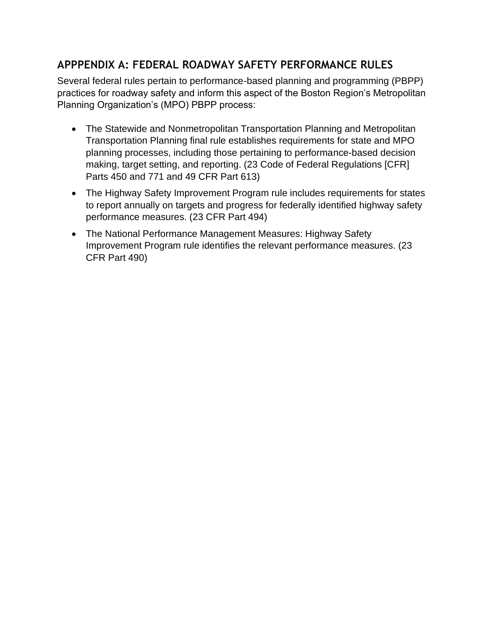## **APPPENDIX A: FEDERAL ROADWAY SAFETY PERFORMANCE RULES**

Several federal rules pertain to performance-based planning and programming (PBPP) practices for roadway safety and inform this aspect of the Boston Region's Metropolitan Planning Organization's (MPO) PBPP process:

- The Statewide and Nonmetropolitan Transportation Planning and Metropolitan Transportation Planning final rule establishes requirements for state and MPO planning processes, including those pertaining to performance-based decision making, target setting, and reporting. (23 Code of Federal Regulations [CFR] Parts 450 and 771 and 49 CFR Part 613)
- The Highway Safety Improvement Program rule includes requirements for states to report annually on targets and progress for federally identified highway safety performance measures. (23 CFR Part 494)
- The National Performance Management Measures: Highway Safety Improvement Program rule identifies the relevant performance measures. (23 CFR Part 490)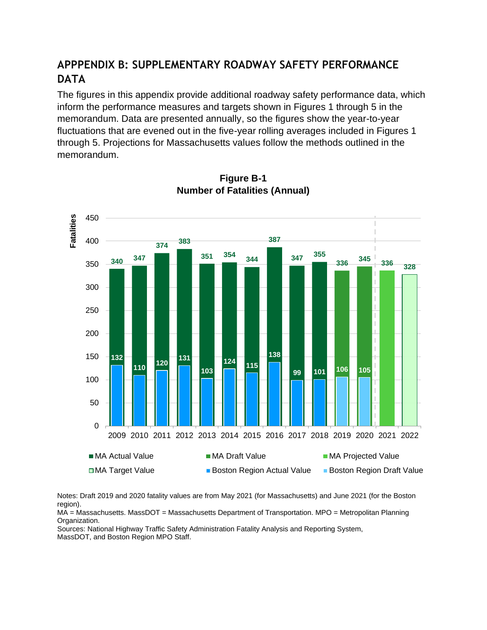### **APPPENDIX B: SUPPLEMENTARY ROADWAY SAFETY PERFORMANCE DATA**

The figures in this appendix provide additional roadway safety performance data, which inform the performance measures and targets shown in Figures 1 through 5 in the memorandum. Data are presented annually, so the figures show the year-to-year fluctuations that are evened out in the five-year rolling averages included in Figures 1 through 5. Projections for Massachusetts values follow the methods outlined in the memorandum.



### **Figure B-1 Number of Fatalities (Annual)**

Notes: Draft 2019 and 2020 fatality values are from May 2021 (for Massachusetts) and June 2021 (for the Boston region).

MA = Massachusetts. MassDOT = Massachusetts Department of Transportation. MPO = Metropolitan Planning Organization.

Sources: National Highway Traffic Safety Administration Fatality Analysis and Reporting System, MassDOT, and Boston Region MPO Staff.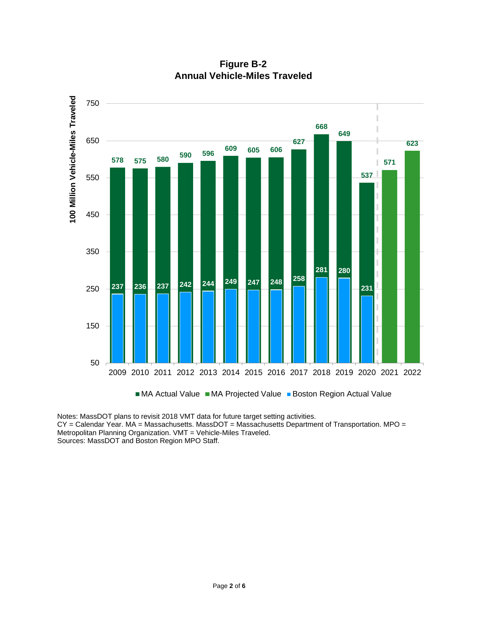

**Figure B-2 Annual Vehicle-Miles Traveled**

Notes: MassDOT plans to revisit 2018 VMT data for future target setting activities. CY = Calendar Year. MA = Massachusetts. MassDOT = Massachusetts Department of Transportation. MPO = Metropolitan Planning Organization. VMT = Vehicle-Miles Traveled. Sources: MassDOT and Boston Region MPO Staff.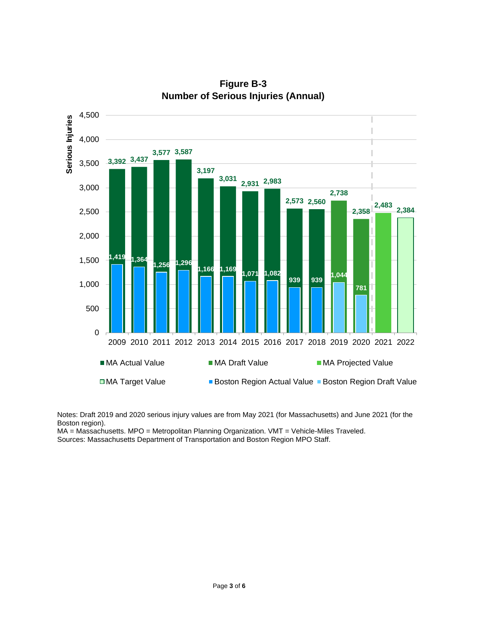

**Figure B-3 Number of Serious Injuries (Annual)**

Notes: Draft 2019 and 2020 serious injury values are from May 2021 (for Massachusetts) and June 2021 (for the Boston region).

MA = Massachusetts. MPO = Metropolitan Planning Organization. VMT = Vehicle-Miles Traveled. Sources: Massachusetts Department of Transportation and Boston Region MPO Staff.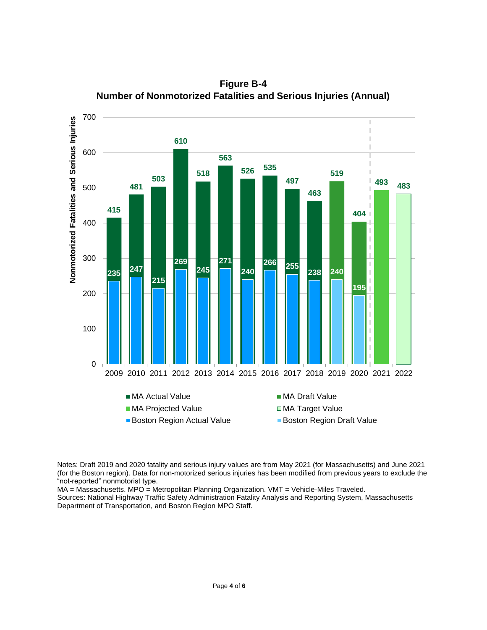

**Figure B-4 Number of Nonmotorized Fatalities and Serious Injuries (Annual)**

Notes: Draft 2019 and 2020 fatality and serious injury values are from May 2021 (for Massachusetts) and June 2021 (for the Boston region). Data for non-motorized serious injuries has been modified from previous years to exclude the "not-reported" nonmotorist type.

MA = Massachusetts. MPO = Metropolitan Planning Organization. VMT = Vehicle-Miles Traveled.

Sources: National Highway Traffic Safety Administration Fatality Analysis and Reporting System, Massachusetts Department of Transportation, and Boston Region MPO Staff.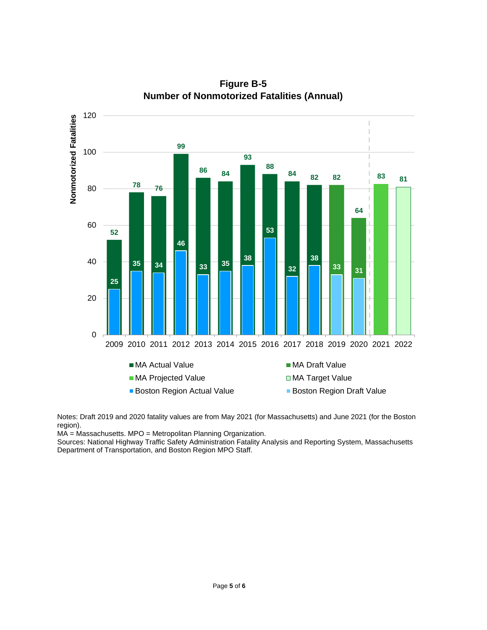

**Figure B-5 Number of Nonmotorized Fatalities (Annual)**

Notes: Draft 2019 and 2020 fatality values are from May 2021 (for Massachusetts) and June 2021 (for the Boston region).

MA = Massachusetts. MPO = Metropolitan Planning Organization.

Sources: National Highway Traffic Safety Administration Fatality Analysis and Reporting System, Massachusetts Department of Transportation, and Boston Region MPO Staff.